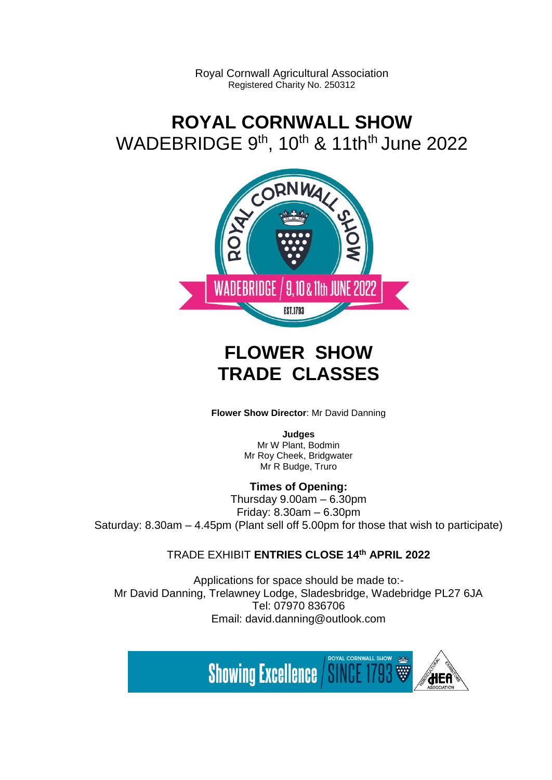Royal Cornwall Agricultural Association Registered Charity No. 250312

# **ROYAL CORNWALL SHOW** WADEBRIDGE 9<sup>th</sup>, 10<sup>th</sup> & 11th<sup>th</sup> June 2022



# **FLOWER SHOW TRADE CLASSES**

**Flower Show Director**: Mr David Danning

**Judges** Mr W Plant, Bodmin Mr Roy Cheek, Bridgwater Mr R Budge, Truro

## **Times of Opening:**

Thursday 9.00am – 6.30pm Friday: 8.30am – 6.30pm Saturday: 8.30am – 4.45pm (Plant sell off 5.00pm for those that wish to participate)

## TRADE EXHIBIT **ENTRIES CLOSE 14 th APRIL 2022**

Applications for space should be made to:- Mr David Danning, Trelawney Lodge, Sladesbridge, Wadebridge PL27 6JA Tel: 07970 836706 Email: david.danning@outlook.com

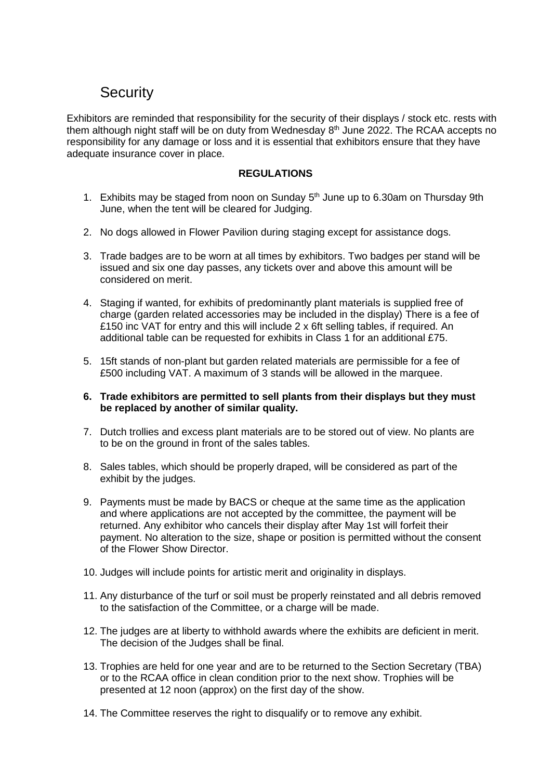## **Security**

Exhibitors are reminded that responsibility for the security of their displays / stock etc. rests with them although night staff will be on duty from Wednesday 8<sup>th</sup> June 2022. The RCAA accepts no responsibility for any damage or loss and it is essential that exhibitors ensure that they have adequate insurance cover in place.

### **REGULATIONS**

- 1. Exhibits may be staged from noon on Sunday 5<sup>th</sup> June up to 6.30am on Thursday 9th June, when the tent will be cleared for Judging.
- 2. No dogs allowed in Flower Pavilion during staging except for assistance dogs.
- 3. Trade badges are to be worn at all times by exhibitors. Two badges per stand will be issued and six one day passes, any tickets over and above this amount will be considered on merit.
- 4. Staging if wanted, for exhibits of predominantly plant materials is supplied free of charge (garden related accessories may be included in the display) There is a fee of £150 inc VAT for entry and this will include 2 x 6ft selling tables, if required. An additional table can be requested for exhibits in Class 1 for an additional £75.
- 5. 15ft stands of non-plant but garden related materials are permissible for a fee of £500 including VAT. A maximum of 3 stands will be allowed in the marquee.
- **6. Trade exhibitors are permitted to sell plants from their displays but they must be replaced by another of similar quality.**
- 7. Dutch trollies and excess plant materials are to be stored out of view. No plants are to be on the ground in front of the sales tables.
- 8. Sales tables, which should be properly draped, will be considered as part of the exhibit by the judges.
- 9. Payments must be made by BACS or cheque at the same time as the application and where applications are not accepted by the committee, the payment will be returned. Any exhibitor who cancels their display after May 1st will forfeit their payment. No alteration to the size, shape or position is permitted without the consent of the Flower Show Director.
- 10. Judges will include points for artistic merit and originality in displays.
- 11. Any disturbance of the turf or soil must be properly reinstated and all debris removed to the satisfaction of the Committee, or a charge will be made.
- 12. The judges are at liberty to withhold awards where the exhibits are deficient in merit. The decision of the Judges shall be final.
- 13. Trophies are held for one year and are to be returned to the Section Secretary (TBA) or to the RCAA office in clean condition prior to the next show. Trophies will be presented at 12 noon (approx) on the first day of the show.
- 14. The Committee reserves the right to disqualify or to remove any exhibit.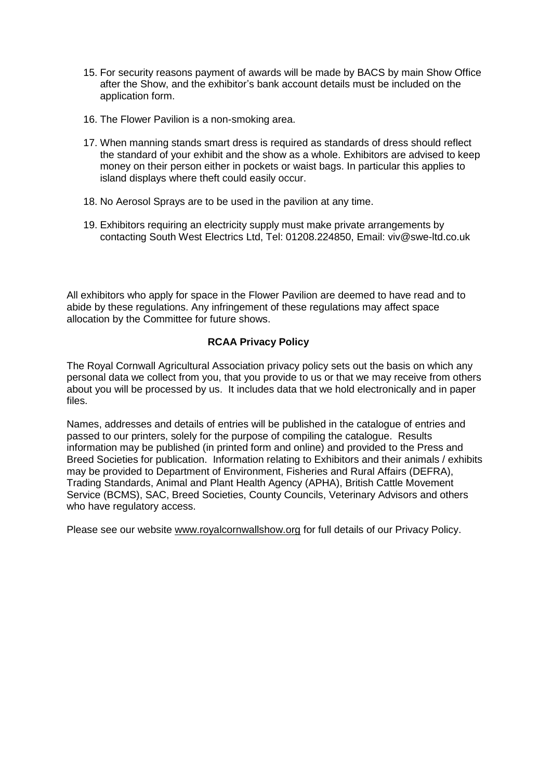- 15. For security reasons payment of awards will be made by BACS by main Show Office after the Show, and the exhibitor's bank account details must be included on the application form.
- 16. The Flower Pavilion is a non-smoking area.
- 17. When manning stands smart dress is required as standards of dress should reflect the standard of your exhibit and the show as a whole. Exhibitors are advised to keep money on their person either in pockets or waist bags. In particular this applies to island displays where theft could easily occur.
- 18. No Aerosol Sprays are to be used in the pavilion at any time.
- 19. Exhibitors requiring an electricity supply must make private arrangements by contacting South West Electrics Ltd, Tel: 01208.224850, Email: viv@swe-ltd.co.uk

All exhibitors who apply for space in the Flower Pavilion are deemed to have read and to abide by these regulations. Any infringement of these regulations may affect space allocation by the Committee for future shows.

### **RCAA Privacy Policy**

The Royal Cornwall Agricultural Association privacy policy sets out the basis on which any personal data we collect from you, that you provide to us or that we may receive from others about you will be processed by us. It includes data that we hold electronically and in paper files.

Names, addresses and details of entries will be published in the catalogue of entries and passed to our printers, solely for the purpose of compiling the catalogue. Results information may be published (in printed form and online) and provided to the Press and Breed Societies for publication. Information relating to Exhibitors and their animals / exhibits may be provided to Department of Environment, Fisheries and Rural Affairs (DEFRA), Trading Standards, Animal and Plant Health Agency (APHA), British Cattle Movement Service (BCMS), SAC, Breed Societies, County Councils, Veterinary Advisors and others who have regulatory access.

Please see our website [www.royalcornwallshow.org](http://www.royalcornwallshow.org/) for full details of our Privacy Policy.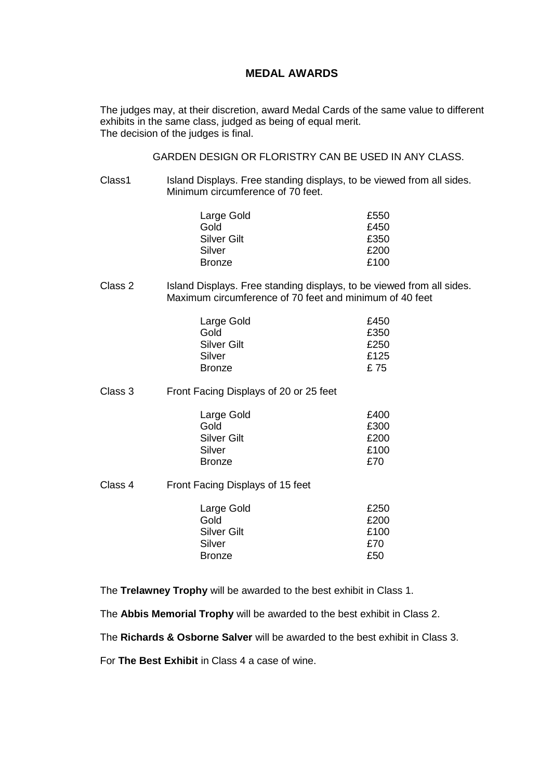### **MEDAL AWARDS**

The judges may, at their discretion, award Medal Cards of the same value to different exhibits in the same class, judged as being of equal merit. The decision of the judges is final.

GARDEN DESIGN OR FLORISTRY CAN BE USED IN ANY CLASS.

Class1 Island Displays. Free standing displays, to be viewed from all sides. Minimum circumference of 70 feet.

| £550 |
|------|
| £450 |
| £350 |
| £200 |
| £100 |
|      |

Class 2 Island Displays. Free standing displays, to be viewed from all sides. Maximum circumference of 70 feet and minimum of 40 feet

| Large Gold    | £450 |
|---------------|------|
| Gold          | £350 |
| Silver Gilt   | £250 |
| Silver        | £125 |
| <b>Bronze</b> | £ 75 |

Class 3 Front Facing Displays of 20 or 25 feet

| Large Gold    | £400 |
|---------------|------|
| Gold          | £300 |
| Silver Gilt   | £200 |
| Silver        | £100 |
| <b>Bronze</b> | £70  |

Class 4 Front Facing Displays of 15 feet

| Large Gold         | £250 |
|--------------------|------|
| Gold               | £200 |
| <b>Silver Gilt</b> | £100 |
| Silver             | £70  |
| <b>Bronze</b>      | £50  |
|                    |      |

The **Trelawney Trophy** will be awarded to the best exhibit in Class 1.

The **Abbis Memorial Trophy** will be awarded to the best exhibit in Class 2.

The **Richards & Osborne Salver** will be awarded to the best exhibit in Class 3.

For **The Best Exhibit** in Class 4 a case of wine.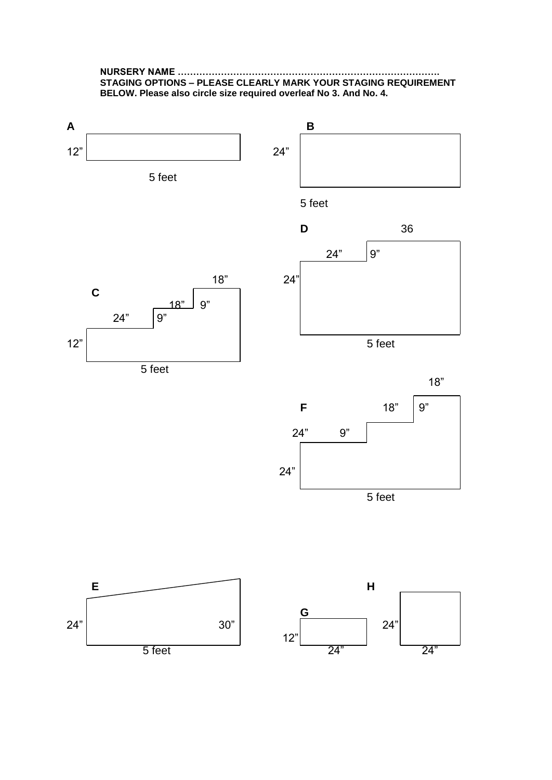**NURSERY NAME …………………………………………………………………………. STAGING OPTIONS – PLEASE CLEARLY MARK YOUR STAGING REQUIREMENT BELOW. Please also circle size required overleaf No 3. And No. 4.**

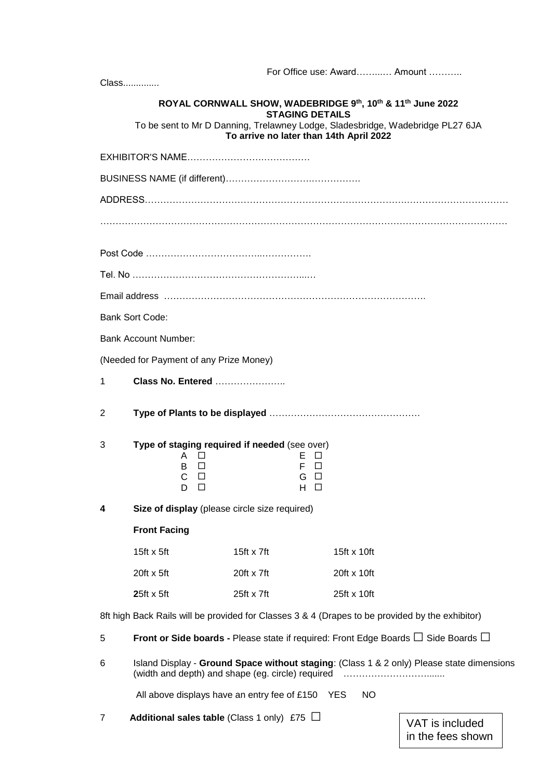|   |                                                                                                                                                     |                    |                                             |             |    | For Office use: Award Amount         |  |  |  |
|---|-----------------------------------------------------------------------------------------------------------------------------------------------------|--------------------|---------------------------------------------|-------------|----|--------------------------------------|--|--|--|
|   | Class                                                                                                                                               |                    |                                             |             |    |                                      |  |  |  |
|   | ROYAL CORNWALL SHOW, WADEBRIDGE 9th, 10th & 11th June 2022                                                                                          |                    |                                             |             |    |                                      |  |  |  |
|   | <b>STAGING DETAILS</b><br>To be sent to Mr D Danning, Trelawney Lodge, Sladesbridge, Wadebridge PL27 6JA<br>To arrive no later than 14th April 2022 |                    |                                             |             |    |                                      |  |  |  |
|   |                                                                                                                                                     |                    |                                             |             |    |                                      |  |  |  |
|   |                                                                                                                                                     |                    |                                             |             |    |                                      |  |  |  |
|   |                                                                                                                                                     |                    |                                             |             |    |                                      |  |  |  |
|   |                                                                                                                                                     |                    |                                             |             |    |                                      |  |  |  |
|   |                                                                                                                                                     |                    |                                             |             |    |                                      |  |  |  |
|   |                                                                                                                                                     |                    |                                             |             |    |                                      |  |  |  |
|   |                                                                                                                                                     |                    |                                             |             |    |                                      |  |  |  |
|   | <b>Bank Sort Code:</b>                                                                                                                              |                    |                                             |             |    |                                      |  |  |  |
|   | <b>Bank Account Number:</b>                                                                                                                         |                    |                                             |             |    |                                      |  |  |  |
|   | (Needed for Payment of any Prize Money)                                                                                                             |                    |                                             |             |    |                                      |  |  |  |
| 1 | <b>Class No. Entered </b>                                                                                                                           |                    |                                             |             |    |                                      |  |  |  |
| 2 |                                                                                                                                                     |                    |                                             |             |    |                                      |  |  |  |
| 3 | Type of staging required if needed (see over)<br>A<br>⊔<br>B<br>$\Box$<br>C<br>$\Box$<br>D<br>$\Box$                                                |                    | ЕД<br>F<br>П<br>$\Box$<br>G<br>Н.<br>$\Box$ |             |    |                                      |  |  |  |
| 4 | Size of display (please circle size required)                                                                                                       |                    |                                             |             |    |                                      |  |  |  |
|   | <b>Front Facing</b>                                                                                                                                 |                    |                                             |             |    |                                      |  |  |  |
|   | 15 $ft \times 5ft$                                                                                                                                  | 15 $ft \times 7ft$ |                                             | 15ft x 10ft |    |                                      |  |  |  |
|   | $20ft \times 5ft$                                                                                                                                   | $20ft \times 7ft$  |                                             | 20ft x 10ft |    |                                      |  |  |  |
|   | $25ft \times 5ft$                                                                                                                                   | $25ft \times 7ft$  |                                             | 25ft x 10ft |    |                                      |  |  |  |
|   | 8ft high Back Rails will be provided for Classes 3 & 4 (Drapes to be provided by the exhibitor)                                                     |                    |                                             |             |    |                                      |  |  |  |
| 5 | Front or Side boards - Please state if required: Front Edge Boards $\Box$ Side Boards $\Box$                                                        |                    |                                             |             |    |                                      |  |  |  |
| 6 | Island Display - Ground Space without staging: (Class 1 & 2 only) Please state dimensions<br>(width and depth) and shape (eg. circle) required      |                    |                                             |             |    |                                      |  |  |  |
|   | All above displays have an entry fee of £150 YES                                                                                                    |                    |                                             |             | NO |                                      |  |  |  |
| 7 | <b>Additional sales table</b> (Class 1 only) £75 $\Box$                                                                                             |                    |                                             |             |    | VAT is included<br>in the fees shown |  |  |  |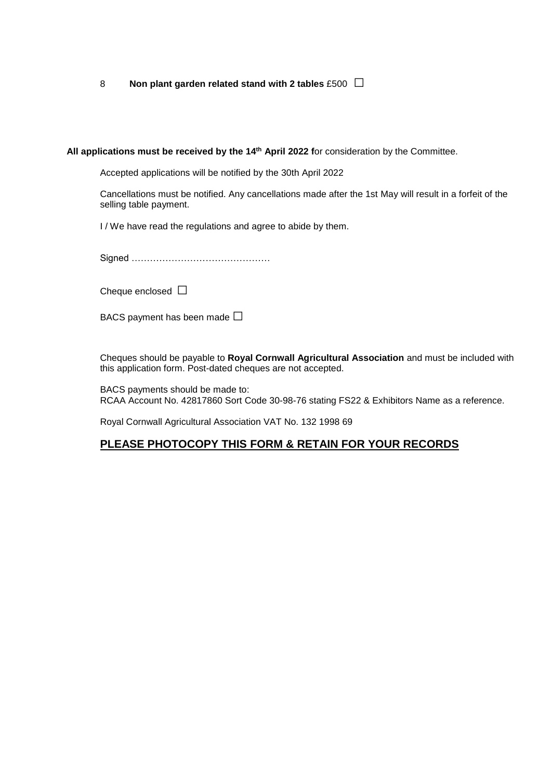<sup>8</sup> **Non plant garden related stand with 2 tables** £500 □

**All applications must be received by the 14 th April 2022 f**or consideration by the Committee.

Accepted applications will be notified by the 30th April 2022

Cancellations must be notified. Any cancellations made after the 1st May will result in a forfeit of the selling table payment.

I / We have read the regulations and agree to abide by them.

Signed ………………………………………

Cheque enclosed  $\square$ 

BACS payment has been made  $\square$ 

Cheques should be payable to **Royal Cornwall Agricultural Association** and must be included with this application form. Post-dated cheques are not accepted.

BACS payments should be made to: RCAA Account No. 42817860 Sort Code 30-98-76 stating FS22 & Exhibitors Name as a reference.

Royal Cornwall Agricultural Association VAT No. 132 1998 69

### **PLEASE PHOTOCOPY THIS FORM & RETAIN FOR YOUR RECORDS**